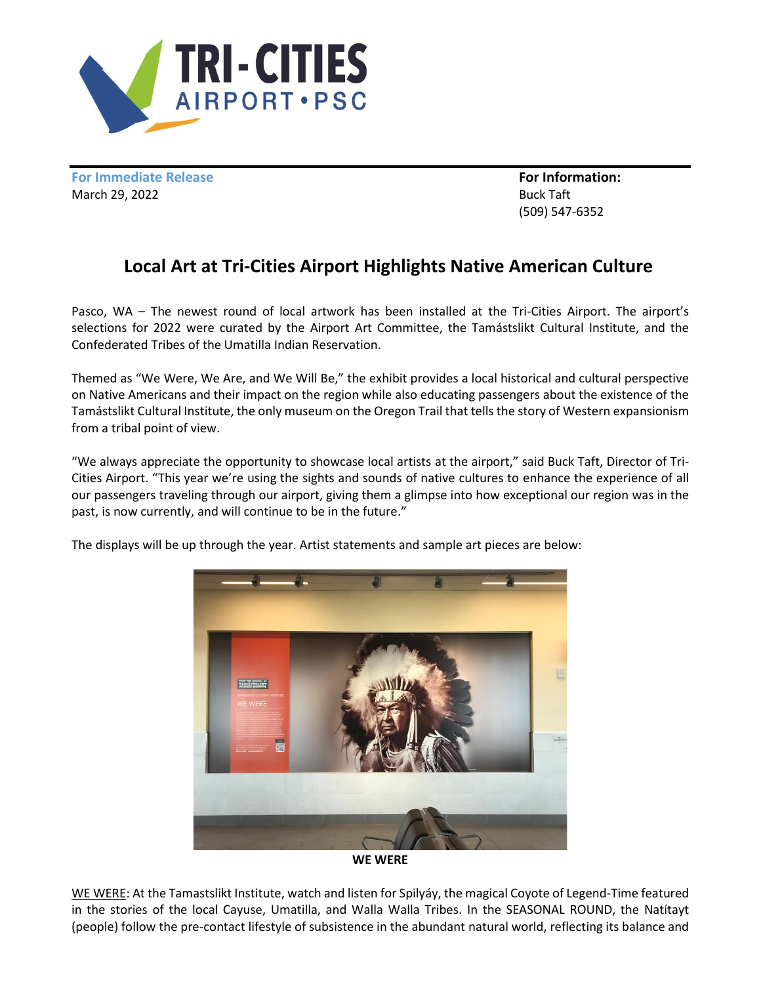

**For Immediate Release For Information:** March 29, 2022 **Buck Taft** 

(509) 547-6352

## **Local Art at Tri-Cities Airport Highlights Native American Culture**

Pasco, WA – The newest round of local artwork has been installed at the Tri-Cities Airport. The airport's selections for 2022 were curated by the Airport Art Committee, the Tamástslikt Cultural Institute, and the Confederated Tribes of the Umatilla Indian Reservation.

Themed as "We Were, We Are, and We Will Be," the exhibit provides a local historical and cultural perspective on Native Americans and their impact on the region while also educating passengers about the existence of the Tamástslikt Cultural Institute, the only museum on the Oregon Trail that tells the story of Western expansionism from a tribal point of view.

"We always appreciate the opportunity to showcase local artists at the airport," said Buck Taft, Director of Tri-Cities Airport. "This year we're using the sights and sounds of native cultures to enhance the experience of all our passengers traveling through our airport, giving them a glimpse into how exceptional our region was in the past, is now currently, and will continue to be in the future."

The displays will be up through the year. Artist statements and sample art pieces are below:



**WE WERE**

WE WERE: At the Tamastslikt Institute, watch and listen for Spilyáy, the magical Coyote of Legend-Time featured in the stories of the local Cayuse, Umatilla, and Walla Walla Tribes. In the SEASONAL ROUND, the Natítayt (people) follow the pre-contact lifestyle of subsistence in the abundant natural world, reflecting its balance and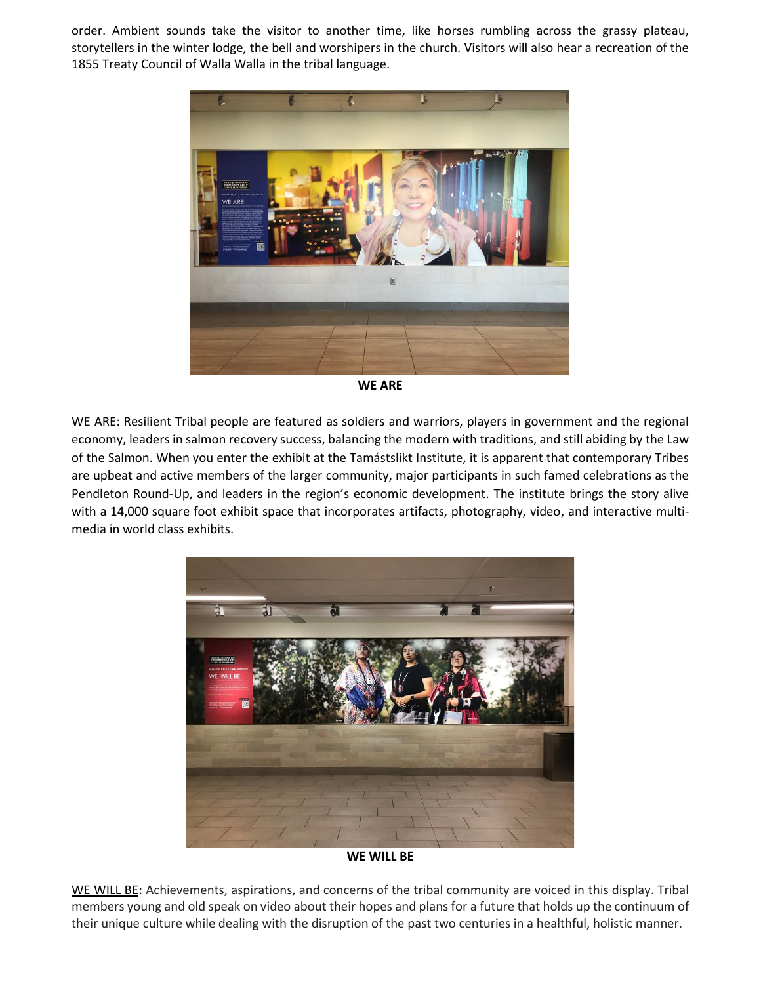order. Ambient sounds take the visitor to another time, like horses rumbling across the grassy plateau, storytellers in the winter lodge, the bell and worshipers in the church. Visitors will also hear a recreation of the 1855 Treaty Council of Walla Walla in the tribal language.



**WE ARE**

WE ARE: Resilient Tribal people are featured as soldiers and warriors, players in government and the regional economy, leaders in salmon recovery success, balancing the modern with traditions, and still abiding by the Law of the Salmon. When you enter the exhibit at the Tamástslikt Institute, it is apparent that contemporary Tribes are upbeat and active members of the larger community, major participants in such famed celebrations as the Pendleton Round-Up, and leaders in the region's economic development. The institute brings the story alive with a 14,000 square foot exhibit space that incorporates artifacts, photography, video, and interactive multimedia in world class exhibits.



**WE WILL BE**

WE WILL BE: Achievements, aspirations, and concerns of the tribal community are voiced in this display. Tribal members young and old speak on video about their hopes and plans for a future that holds up the continuum of their unique culture while dealing with the disruption of the past two centuries in a healthful, holistic manner.